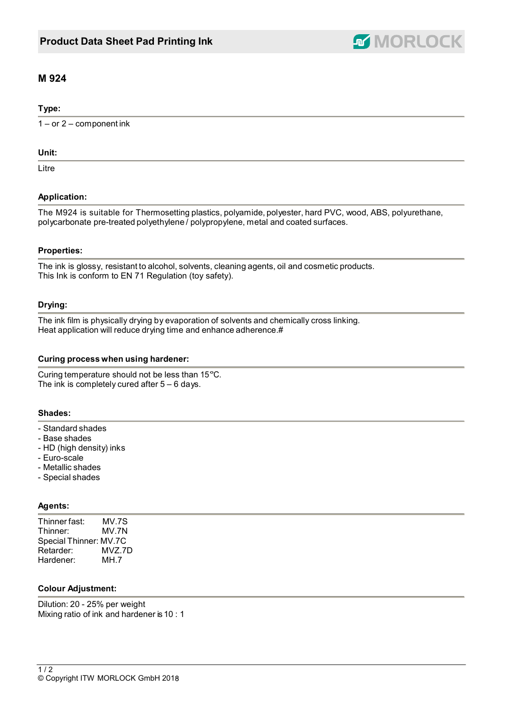

# **M 924**

## **Type:**

 $1 - or 2 - component$  ink

#### **Unit:**

Litre

# **Application:**

The M924 is suitable for Thermosetting plastics, polyamide, polyester, hard PVC, wood, ABS, polyurethane, polycarbonate pre-treated polyethylene / polypropylene, metal and coated surfaces.

## **Properties:**

The ink is glossy, resistant to alcohol, solvents, cleaning agents, oil and cosmetic products. This Ink is conform to EN 71 Regulation (toy safety).

## **Drying:**

The ink film is physically drying by evaporation of solvents and chemically cross linking. Heat application will reduce drying time and enhance adherence.#

## **Curing process when using hardener:**

Curing temperature should not be less than 15°C. The ink is completely cured after  $5 - 6$  days.

## **Shades:**

- Standard shades
- Base shades
- HD (high density) inks
- Euro-scale
- Metallic shades
- Special shades

## **Agents:**

| Thinner fast:          | MV.7S  |
|------------------------|--------|
| Thinner:               | MV.7N  |
| Special Thinner: MV.7C |        |
| Retarder:              | MVZ.7D |
| Hardener:              | MH.7   |

## **Colour Adjustment:**

Dilution: 20 - 25% per weight Mixing ratio of ink and hardener is 10 : 1